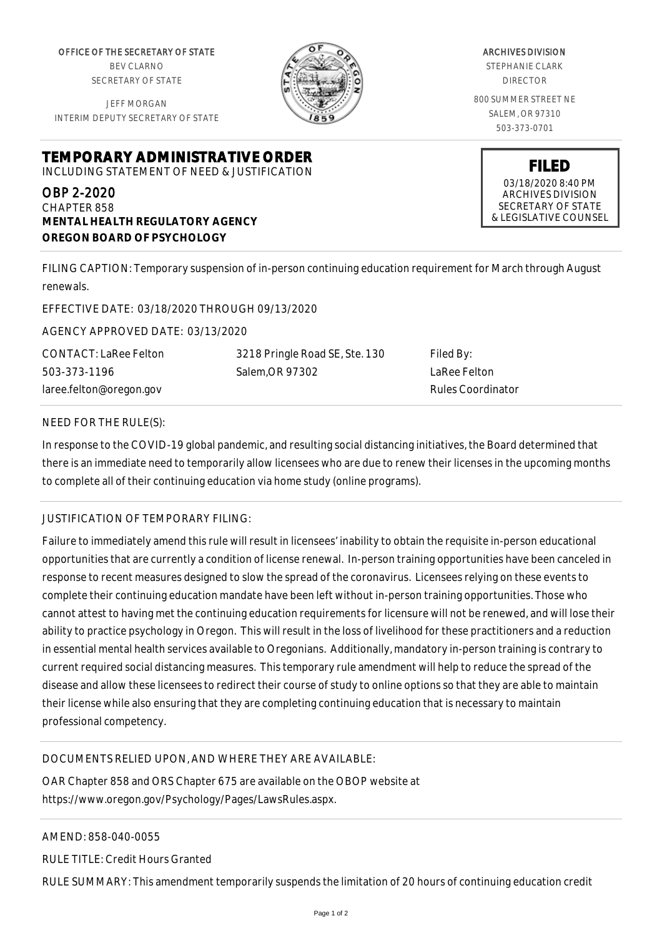OFFICE OF THE SECRETARY OF STATE BEV CLARNO SECRETARY OF STATE

JEFF MORGAN INTERIM DEPUTY SECRETARY OF STATE



ARCHIVES DIVISION STEPHANIE CLARK DIRECTOR 800 SUMMER STREET NE SALEM, OR 97310 503-373-0701

> **FILED** 03/18/2020 8:40 PM ARCHIVES DIVISION SECRETARY OF STATE & LEGISLATIVE COUNSEL

**TEMPORARY ADMINISTRATIVE ORDER** INCLUDING STATEMENT OF NEED & JUSTIFICATION

### OBP 2-2020

CHAPTER 858 **MENTAL HEALTH REGULATORY AGENCY OREGON BOARD OF PSYCHOLOGY**

FILING CAPTION: Temporary suspension of in-person continuing education requirement for March through August renewals.

EFFECTIVE DATE: 03/18/2020 THROUGH 09/13/2020

AGENCY APPROVED DATE: 03/13/2020

CONTACT: LaRee Felton 503-373-1196 laree.felton@oregon.gov

3218 Pringle Road SE, Ste. 130 Salem,OR 97302

Filed By: LaRee Felton Rules Coordinator

#### NEED FOR THE RULE(S):

In response to the COVID-19 global pandemic, and resulting social distancing initiatives, the Board determined that there is an immediate need to temporarily allow licensees who are due to renew their licenses in the upcoming months to complete all of their continuing education via home study (online programs).

# JUSTIFICATION OF TEMPORARY FILING:

Failure to immediately amend this rule will result in licensees' inability to obtain the requisite in-person educational opportunities that are currently a condition of license renewal. In-person training opportunities have been canceled in response to recent measures designed to slow the spread of the coronavirus. Licensees relying on these events to complete their continuing education mandate have been left without in-person training opportunities. Those who cannot attest to having met the continuing education requirements for licensure will not be renewed, and will lose their ability to practice psychology in Oregon. This will result in the loss of livelihood for these practitioners and a reduction in essential mental health services available to Oregonians. Additionally, mandatory in-person training is contrary to current required social distancing measures. This temporary rule amendment will help to reduce the spread of the disease and allow these licensees to redirect their course of study to online options so that they are able to maintain their license while also ensuring that they are completing continuing education that is necessary to maintain professional competency.

# DOCUMENTS RELIED UPON, AND WHERE THEY ARE AVAILABLE:

OAR Chapter 858 and ORS Chapter 675 are available on the OBOP website at https://www.oregon.gov/Psychology/Pages/LawsRules.aspx.

AMEND: 858-040-0055

RULE TITLE: Credit Hours Granted

RULE SUMMARY: This amendment temporarily suspends the limitation of 20 hours of continuing education credit